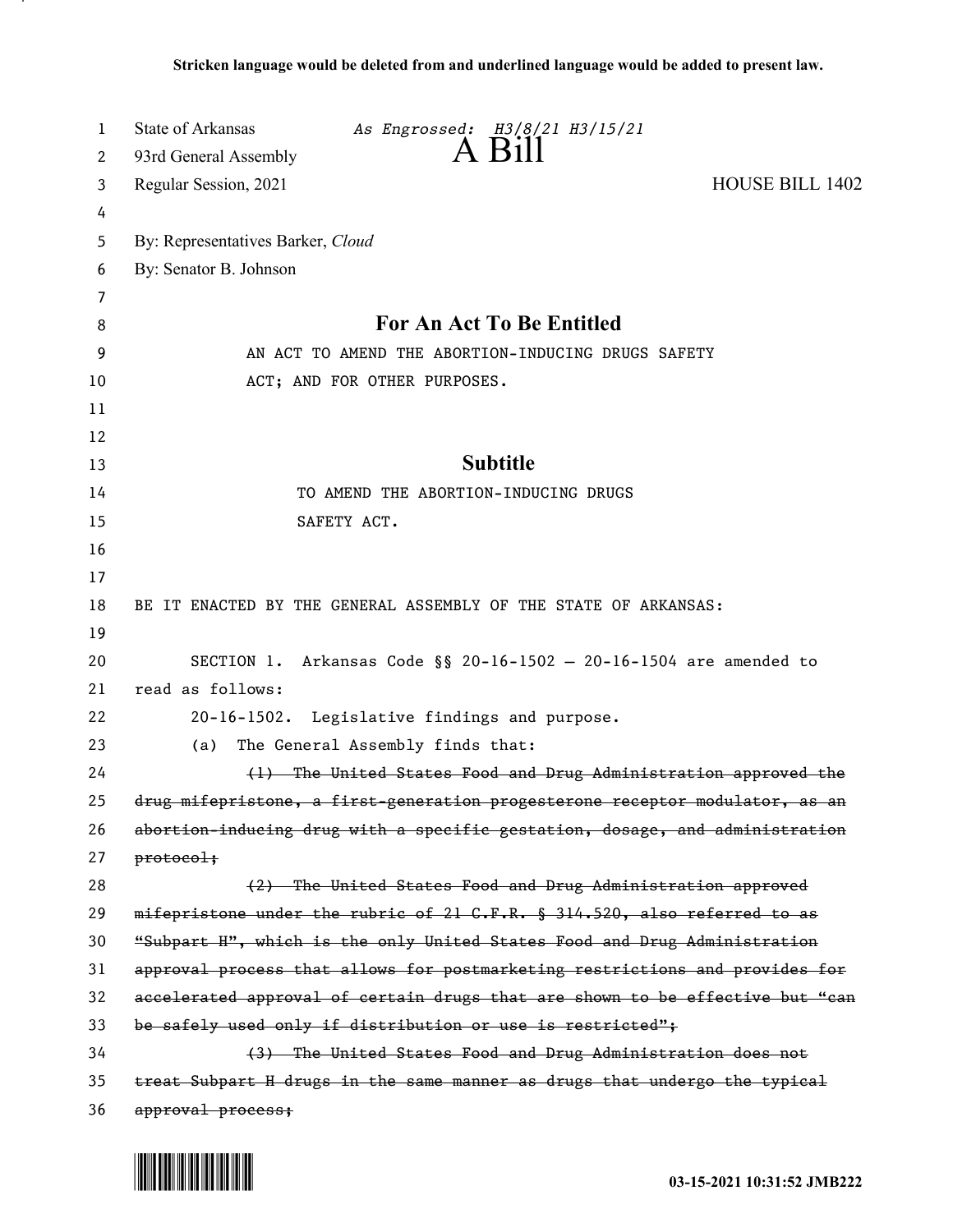| 1  | State of Arkansas                 | As Engrossed: H3/8/21 H3/15/21                                  |                                                                               |
|----|-----------------------------------|-----------------------------------------------------------------|-------------------------------------------------------------------------------|
| 2  | 93rd General Assembly             | $A$ $B1$                                                        |                                                                               |
| 3  | Regular Session, 2021             |                                                                 | <b>HOUSE BILL 1402</b>                                                        |
| 4  |                                   |                                                                 |                                                                               |
| 5  | By: Representatives Barker, Cloud |                                                                 |                                                                               |
| 6  | By: Senator B. Johnson            |                                                                 |                                                                               |
| 7  |                                   |                                                                 |                                                                               |
| 8  |                                   | <b>For An Act To Be Entitled</b>                                |                                                                               |
| 9  |                                   | AN ACT TO AMEND THE ABORTION-INDUCING DRUGS SAFETY              |                                                                               |
| 10 |                                   | ACT; AND FOR OTHER PURPOSES.                                    |                                                                               |
| 11 |                                   |                                                                 |                                                                               |
| 12 |                                   |                                                                 |                                                                               |
| 13 |                                   | <b>Subtitle</b>                                                 |                                                                               |
| 14 |                                   | TO AMEND THE ABORTION-INDUCING DRUGS                            |                                                                               |
| 15 |                                   | SAFETY ACT.                                                     |                                                                               |
| 16 |                                   |                                                                 |                                                                               |
| 17 |                                   |                                                                 |                                                                               |
| 18 |                                   | BE IT ENACTED BY THE GENERAL ASSEMBLY OF THE STATE OF ARKANSAS: |                                                                               |
| 19 |                                   |                                                                 |                                                                               |
| 20 |                                   |                                                                 | SECTION 1. Arkansas Code §§ 20-16-1502 - 20-16-1504 are amended to            |
| 21 | read as follows:                  |                                                                 |                                                                               |
| 22 |                                   | 20-16-1502. Legislative findings and purpose.                   |                                                                               |
| 23 | (a)                               | The General Assembly finds that:                                |                                                                               |
| 24 |                                   |                                                                 | (1) The United States Food and Drug Administration approved the               |
| 25 |                                   |                                                                 | drug mifepristone, a first-generation progesterone receptor modulator, as an  |
| 26 |                                   |                                                                 | abortion-inducing drug with a specific gestation, dosage, and administration  |
| 27 | $protocol$                        |                                                                 |                                                                               |
| 28 |                                   |                                                                 | (2) The United States Food and Drug Administration approved                   |
| 29 |                                   |                                                                 | mifepristone under the rubric of 21 G.F.R. § 314.520, also referred to as     |
| 30 |                                   |                                                                 | "Subpart H", which is the only United States Food and Drug Administration     |
| 31 |                                   |                                                                 | approval process that allows for postmarketing restrictions and provides for  |
| 32 |                                   |                                                                 | accelerated approval of certain drugs that are shown to be effective but "can |
| 33 |                                   | be safely used only if distribution or use is restricted";      |                                                                               |
| 34 |                                   |                                                                 | (3) The United States Food and Drug Administration does not                   |
| 35 |                                   |                                                                 | treat Subpart H drugs in the same manner as drugs that undergo the typical    |
| 36 | approval process;                 |                                                                 |                                                                               |

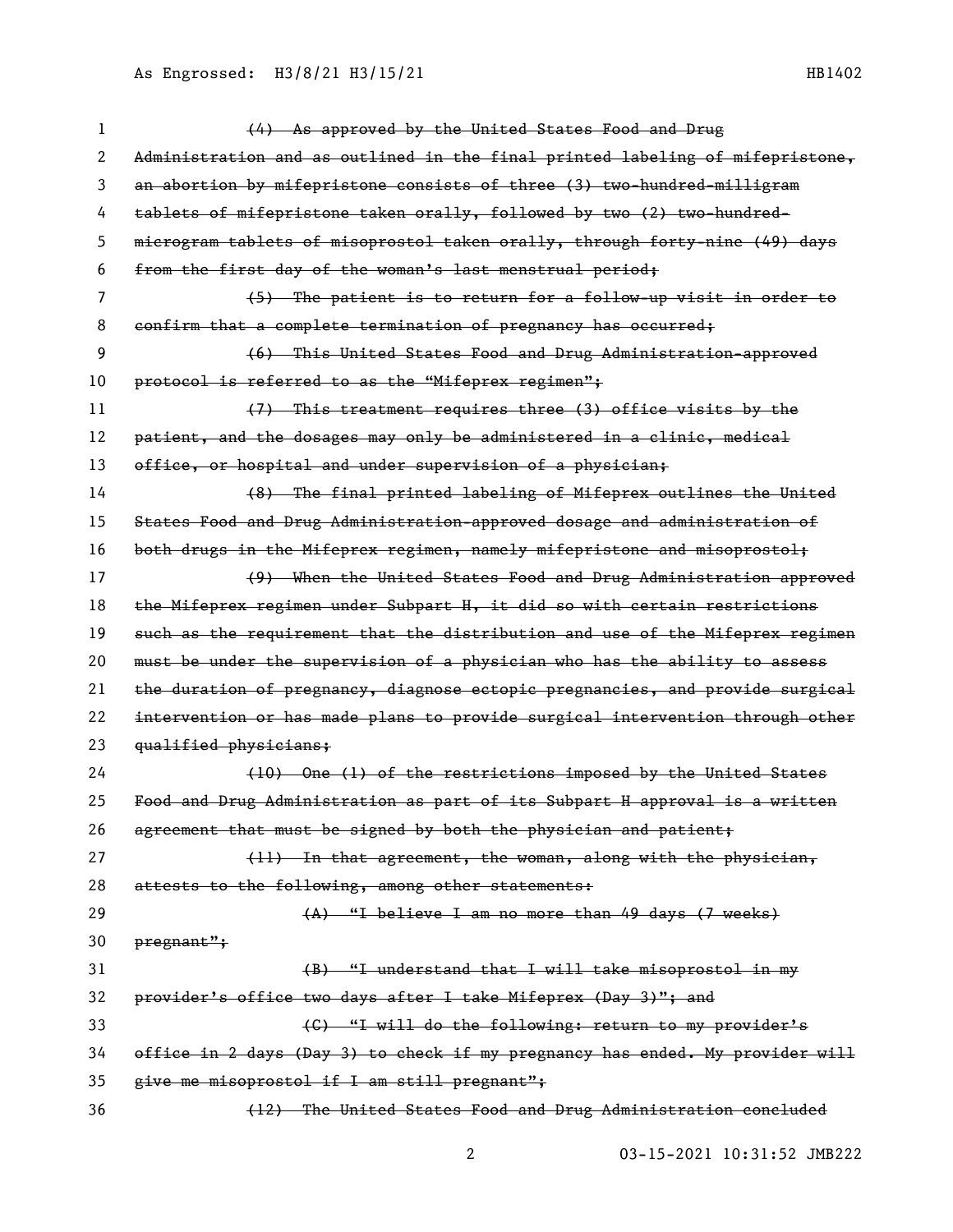| 1  | (4) As approved by the United States Food and Drug                            |
|----|-------------------------------------------------------------------------------|
| 2  | Administration and as outlined in the final printed labeling of mifepristone, |
| 3  | an abortion by mifepristone consists of three (3) two-hundred-milligram       |
| 4  | tablets of mifepristone taken orally, followed by two (2) two hundred-        |
| 5  | microgram tablets of misoprostol taken orally, through forty-nine (49) days   |
| 6  | from the first day of the woman's last menstrual period;                      |
| 7  | (5) The patient is to return for a follow-up visit in order to                |
| 8  | confirm that a complete termination of pregnancy has occurred;                |
| 9  | (6) This United States Food and Drug Administration approved                  |
| 10 | protocol is referred to as the "Mifeprex regimen";                            |
| 11 | (7) This treatment requires three (3) office visits by the                    |
| 12 | patient, and the dosages may only be administered in a clinic, medical        |
| 13 | office, or hospital and under supervision of a physician;                     |
| 14 | (8) The final printed labeling of Mifeprex outlines the United                |
| 15 | States Food and Drug Administration-approved dosage and administration of     |
| 16 | both drugs in the Mifeprex regimen, namely mifepristone and misoprostol;      |
| 17 | (9) When the United States Food and Drug Administration approved              |
| 18 | the Mifeprex regimen under Subpart H, it did so with certain restrictions     |
| 19 | such as the requirement that the distribution and use of the Mifeprex regimen |
| 20 | must be under the supervision of a physician who has the ability to assess    |
| 21 | the duration of pregnancy, diagnose ectopic pregnancies, and provide surgical |
| 22 | intervention or has made plans to provide surgical intervention through other |
| 23 | qualified physicians;                                                         |
| 24 | (10) One (1) of the restrictions imposed by the United States                 |
| 25 | Food and Drug Administration as part of its Subpart H approval is a written   |
| 26 | agreement that must be signed by both the physician and patient;              |
| 27 | (11) In that agreement, the woman, along with the physician,                  |
| 28 | attests to the following, among other statements:                             |
| 29 | (A) "I believe I am no more than 49 days (7 weeks)                            |
| 30 | pregnant":                                                                    |
| 31 | (B) "I understand that I will take misoprostol in my                          |
| 32 | provider's office two days after I take Mifeprex (Day 3)"; and                |
| 33 | (C) "I will do the following: return to my provider's                         |
| 34 | office in 2 days (Day 3) to check if my pregnancy has ended. My provider will |
| 35 | give me misoprostol if I am still pregnant";                                  |
| 36 | (12) The United States Food and Drug Administration concluded                 |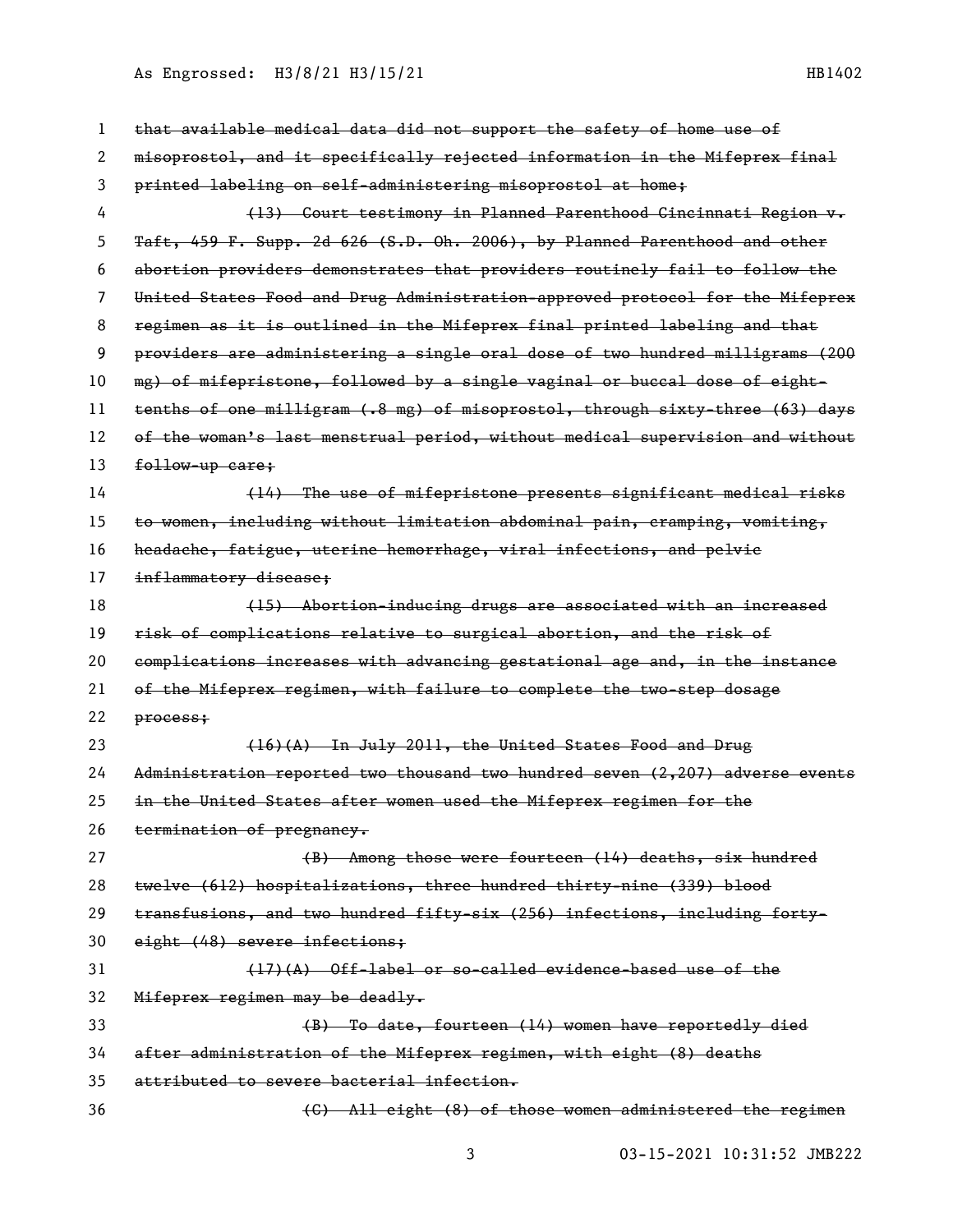As Engrossed: H3/8/21 H3/15/21 1202 1202 1203 1204 1204 1204 1205

| 1  | that available medical data did not support the safety of home use of         |
|----|-------------------------------------------------------------------------------|
| 2  | misoprostol, and it specifically rejected information in the Mifeprex final   |
| 3  | printed labeling on self-administering misoprostol at home;                   |
| 4  | (13) Court testimony in Planned Parenthood Cincinnati Region v.               |
| 5  | Taft, 459 F. Supp. 2d 626 (S.D. Oh. 2006), by Planned Parenthood and other    |
| 6  | abortion providers demonstrates that providers routinely fail to follow the   |
| 7  | United States Food and Drug Administration approved protocol for the Mifeprex |
| 8  | regimen as it is outlined in the Mifeprex final printed labeling and that     |
| 9  | providers are administering a single oral dose of two hundred milligrams (200 |
| 10 | mg) of mifepristone, followed by a single vaginal or buccal dose of eight-    |
| 11 | tenths of one milligram (.8 mg) of misoprostol, through sixty-three (63) days |
| 12 | of the woman's last menstrual period, without medical supervision and without |
| 13 | follow-up care;                                                               |
| 14 | (14) The use of mifepristone presents significant medical risks               |
| 15 | to women, including without limitation abdominal pain, cramping, vomiting,    |
| 16 | headache, fatigue, uterine hemorrhage, viral infections, and pelvic           |
| 17 | inflammatory disease;                                                         |
| 18 | (15) Abortion-inducing drugs are associated with an increased                 |
| 19 | risk of complications relative to surgical abortion, and the risk of          |
| 20 | complications increases with advancing gestational age and, in the instance   |
| 21 | of the Mifeprex regimen, with failure to complete the two-step dosage         |
| 22 | process;                                                                      |
| 23 | (16)(A) In July 2011, the United States Food and Drug                         |
| 24 | Administration reported two thousand two hundred seven (2,207) adverse events |
| 25 | in the United States after women used the Mifeprex regimen for the            |
| 26 | termination of pregnancy.                                                     |
| 27 | (B) Among those were fourteen (14) deaths, six hundred                        |
| 28 | twelve (612) hospitalizations, three hundred thirty-nine (339) blood          |
| 29 | transfusions, and two hundred fifty-six (256) infections, including forty-    |
| 30 | eight (48) severe infections;                                                 |
| 31 | $(17)(A)$ Off-label or so-called evidence-based use of the                    |
| 32 | Mifeprex regimen may be deadly.                                               |
| 33 | (B) To date, fourteen (14) women have reportedly died                         |
| 34 | after administration of the Mifeprex regimen, with eight (8) deaths           |
| 35 | attributed to severe bacterial infection.                                     |
| 36 | (C) All eight (8) of those women administered the regimen                     |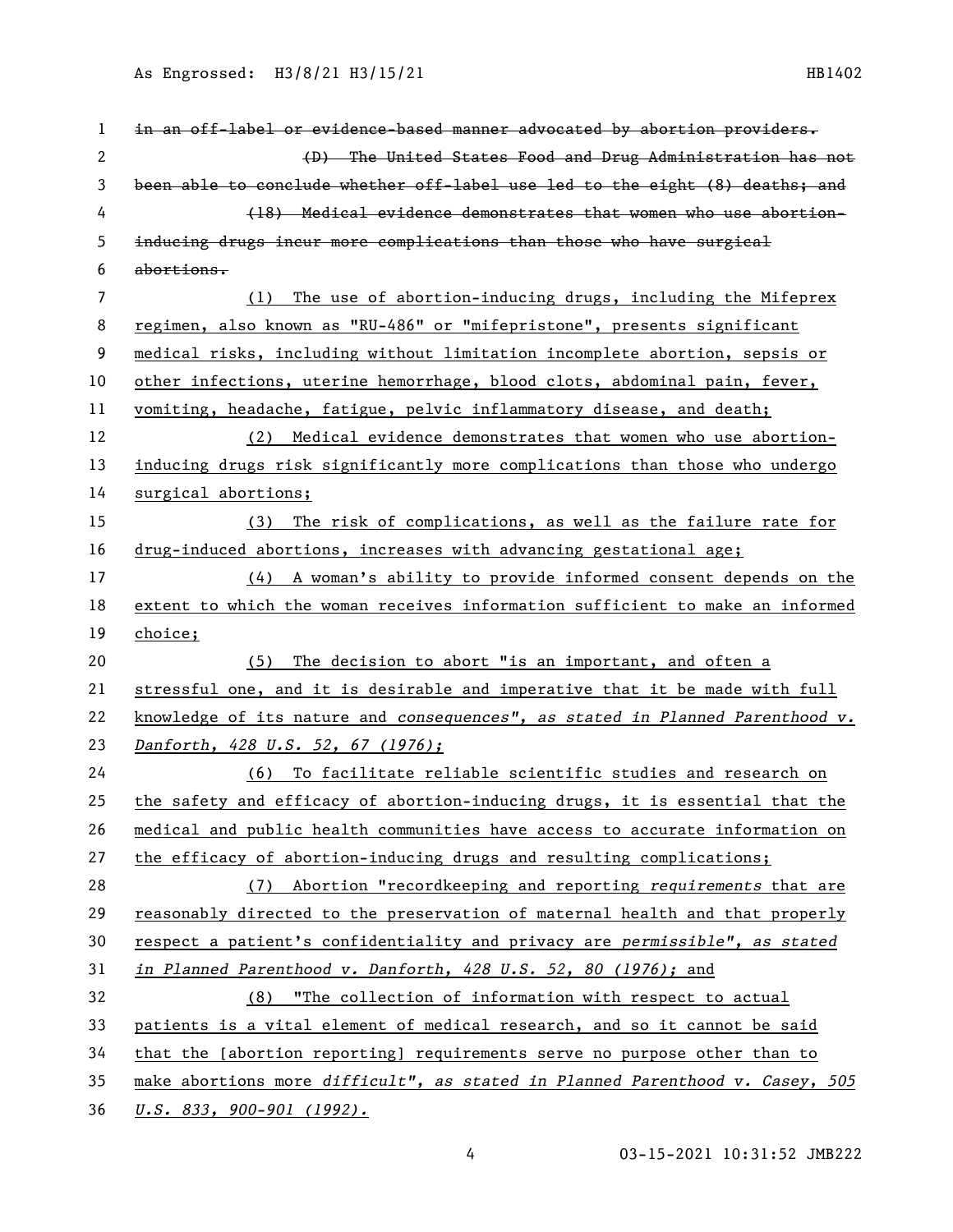As Engrossed: H3/8/21 H3/15/21 1202 1202 1203 1204 1204 1204 1205

| 1            | in an off-label or evidence-based manner advocated by abortion providers.     |
|--------------|-------------------------------------------------------------------------------|
| $\mathbf{2}$ | (D) The United States Food and Drug Administration has not                    |
| 3            | been able to conclude whether off-label use led to the eight (8) deaths; and  |
| 4            | (18) Medical evidence demonstrates that women who use abortion-               |
| 5            | inducing drugs incur more complications than those who have surgical          |
| 6            | abortions.                                                                    |
| 7            | The use of abortion-inducing drugs, including the Mifeprex<br>(1)             |
| 8            | regimen, also known as "RU-486" or "mifepristone", presents significant       |
| 9            | medical risks, including without limitation incomplete abortion, sepsis or    |
| 10           | other infections, uterine hemorrhage, blood clots, abdominal pain, fever,     |
| 11           | vomiting, headache, fatigue, pelvic inflammatory disease, and death;          |
| 12           | (2) Medical evidence demonstrates that women who use abortion-                |
| 13           | inducing drugs risk significantly more complications than those who undergo   |
| 14           | surgical abortions;                                                           |
| 15           | (3) The risk of complications, as well as the failure rate for                |
| 16           | drug-induced abortions, increases with advancing gestational age;             |
| 17           | (4) A woman's ability to provide informed consent depends on the              |
| 18           | extent to which the woman receives information sufficient to make an informed |
| 19           | choice;                                                                       |
| 20           | (5) The decision to abort "is an important, and often a                       |
| 21           | stressful one, and it is desirable and imperative that it be made with full   |
| 22           | knowledge of its nature and consequences", as stated in Planned Parenthood v. |
| 23           | Danforth, 428 U.S. 52, 67 (1976);                                             |
| 24           | (6) To facilitate reliable scientific studies and research on                 |
| 25           | the safety and efficacy of abortion-inducing drugs, it is essential that the  |
| 26           | medical and public health communities have access to accurate information on  |
| 27           |                                                                               |
|              | the efficacy of abortion-inducing drugs and resulting complications;          |
| 28           | (7) Abortion "recordkeeping and reporting requirements that are               |
| 29           | reasonably directed to the preservation of maternal health and that properly  |
| 30           | respect a patient's confidentiality and privacy are permissible", as stated   |
| 31           | in Planned Parenthood v. Danforth, 428 U.S. 52, 80 (1976); and                |
| 32           | (8) "The collection of information with respect to actual                     |
| 33           | patients is a vital element of medical research, and so it cannot be said     |
| 34           | that the [abortion reporting] requirements serve no purpose other than to     |
| 35           | make abortions more difficult", as stated in Planned Parenthood v. Casey, 505 |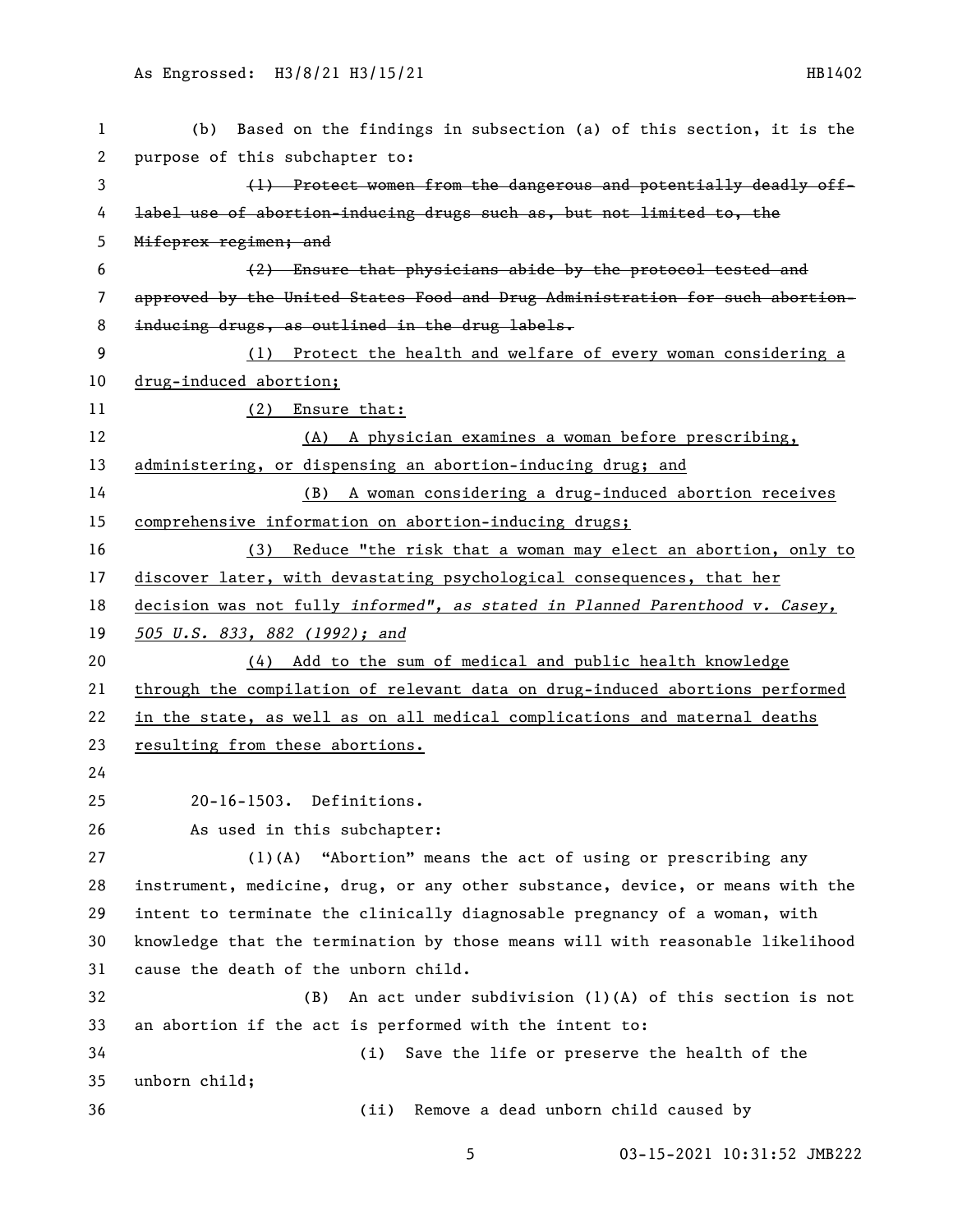| $\mathbf{1}$ | Based on the findings in subsection (a) of this section, it is the<br>(b)     |
|--------------|-------------------------------------------------------------------------------|
| 2            | purpose of this subchapter to:                                                |
| 3            | (1) Protect women from the dangerous and potentially deadly off-              |
| 4            | label use of abortion-inducing drugs such as, but not limited to, the         |
| 5            | Mifeprex regimen; and                                                         |
| 6            | (2) Ensure that physicians abide by the protocol tested and                   |
| 7            | approved by the United States Food and Drug Administration for such abortion- |
| 8            | inducing drugs, as outlined in the drug labels.                               |
| 9            | (1) Protect the health and welfare of every woman considering a               |
| 10           | drug-induced abortion;                                                        |
| 11           | (2) Ensure that:                                                              |
| 12           | A physician examines a woman before prescribing,<br>(A)                       |
| 13           | administering, or dispensing an abortion-inducing drug; and                   |
| 14           | A woman considering a drug-induced abortion receives<br>(B)                   |
| 15           | comprehensive information on abortion-inducing drugs;                         |
| 16           | Reduce "the risk that a woman may elect an abortion, only to<br>(3)           |
| 17           | discover later, with devastating psychological consequences, that her         |
| 18           | decision was not fully informed", as stated in Planned Parenthood v. Casey,   |
| 19           | 505 U.S. 833, 882 (1992); and                                                 |
| 20           | (4) Add to the sum of medical and public health knowledge                     |
| 21           | through the compilation of relevant data on drug-induced abortions performed  |
| 22           | in the state, as well as on all medical complications and maternal deaths     |
| 23           | resulting from these abortions.                                               |
| 24           |                                                                               |
| 25           | 20-16-1503. Definitions.                                                      |
| 26           | As used in this subchapter:                                                   |
| 27           | $(1)$ (A)<br>"Abortion" means the act of using or prescribing any             |
| 28           | instrument, medicine, drug, or any other substance, device, or means with the |
| 29           | intent to terminate the clinically diagnosable pregnancy of a woman, with     |
| 30           | knowledge that the termination by those means will with reasonable likelihood |
| 31           | cause the death of the unborn child.                                          |
| 32           | An act under subdivision $(1)(A)$ of this section is not<br>(B)               |
| 33           | an abortion if the act is performed with the intent to:                       |
| 34           | Save the life or preserve the health of the<br>(i)                            |
| 35           | unborn child;                                                                 |
| 36           | Remove a dead unborn child caused by<br>(ii)                                  |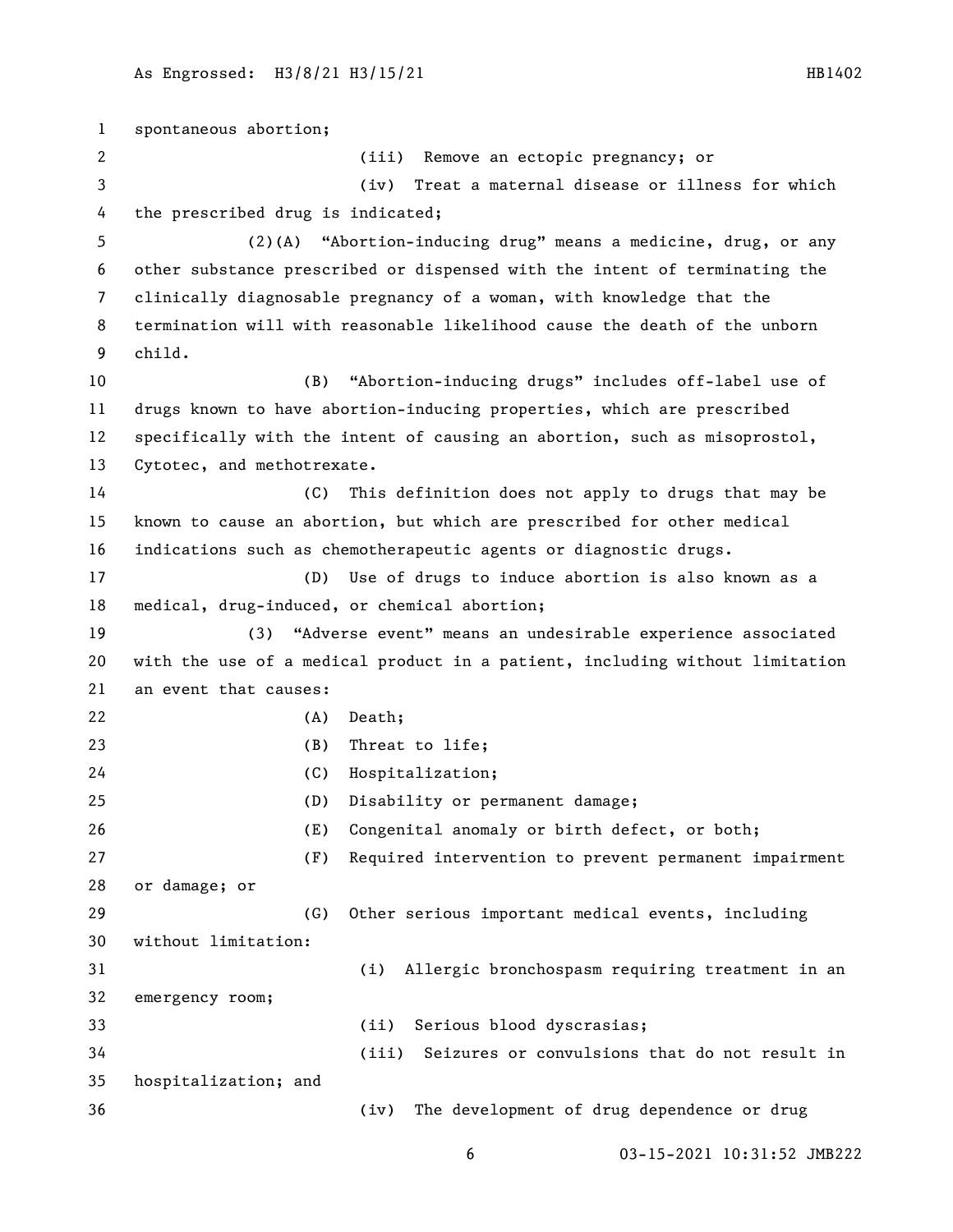spontaneous abortion; (iii) Remove an ectopic pregnancy; or (iv) Treat a maternal disease or illness for which the prescribed drug is indicated; (2)(A) "Abortion-inducing drug" means a medicine, drug, or any other substance prescribed or dispensed with the intent of terminating the clinically diagnosable pregnancy of a woman, with knowledge that the termination will with reasonable likelihood cause the death of the unborn child. (B) "Abortion-inducing drugs" includes off-label use of drugs known to have abortion-inducing properties, which are prescribed specifically with the intent of causing an abortion, such as misoprostol, Cytotec, and methotrexate. (C) This definition does not apply to drugs that may be known to cause an abortion, but which are prescribed for other medical indications such as chemotherapeutic agents or diagnostic drugs. (D) Use of drugs to induce abortion is also known as a medical, drug-induced, or chemical abortion; (3) "Adverse event" means an undesirable experience associated with the use of a medical product in a patient, including without limitation an event that causes: (A) Death; (B) Threat to life; (C) Hospitalization; (D) Disability or permanent damage; (E) Congenital anomaly or birth defect, or both; (F) Required intervention to prevent permanent impairment or damage; or (G) Other serious important medical events, including without limitation: (i) Allergic bronchospasm requiring treatment in an emergency room; (ii) Serious blood dyscrasias; (iii) Seizures or convulsions that do not result in hospitalization; and (iv) The development of drug dependence or drug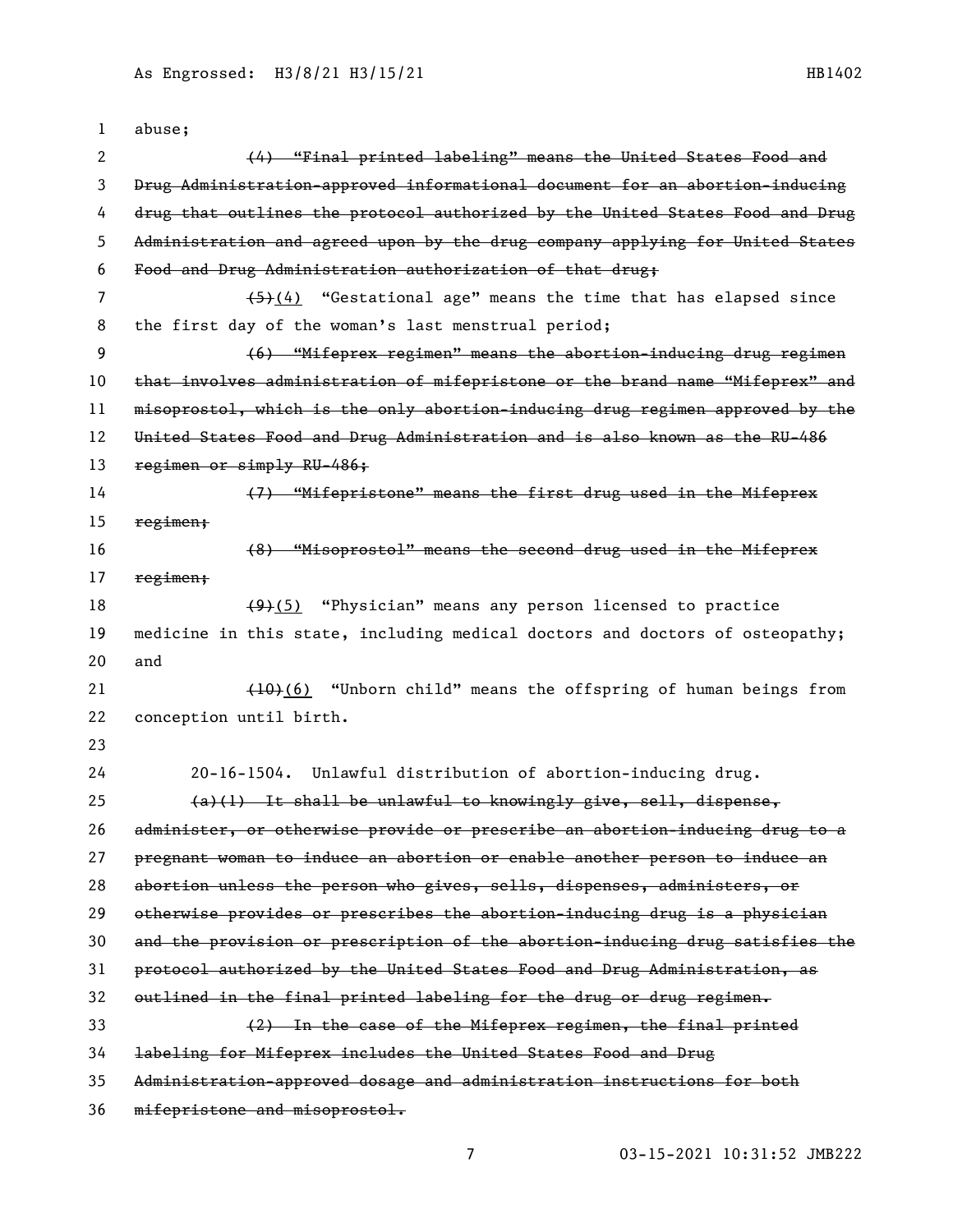| 1  | abuse;                                                                        |
|----|-------------------------------------------------------------------------------|
| 2  | (4) "Final printed labeling" means the United States Food and                 |
| 3  | Drug Administration-approved informational document for an abortion-inducing  |
| 4  | drug that outlines the protocol authorized by the United States Food and Drug |
| 5  | Administration and agreed upon by the drug company applying for United States |
| 6  | Food and Drug Administration authorization of that drug;                      |
| 7  | $(4)$ "Gestational age" means the time that has elapsed since                 |
| 8  | the first day of the woman's last menstrual period;                           |
| 9  | (6) "Mifeprex regimen" means the abortion-inducing drug regimen               |
| 10 | that involves administration of mifepristone or the brand name "Mifeprex" and |
| 11 | misoprostol, which is the only abortion-inducing drug regimen approved by the |
| 12 | United States Food and Drug Administration and is also known as the RU-486    |
| 13 | regimen or simply RU-486;                                                     |
| 14 | (7) "Mifepristone" means the first drug used in the Mifeprex                  |
| 15 | regimen;                                                                      |
| 16 | (8) "Misoprostol" means the second drug used in the Mifeprex                  |
| 17 | regimen;                                                                      |
| 18 | $(9)(5)$ "Physician" means any person licensed to practice                    |
| 19 | medicine in this state, including medical doctors and doctors of osteopathy;  |
| 20 | and                                                                           |
| 21 | (10)(6) "Unborn child" means the offspring of human beings from               |
| 22 | conception until birth.                                                       |
| 23 |                                                                               |
| 24 | Unlawful distribution of abortion-inducing drug.<br>$20 - 16 - 1504$ .        |
| 25 | $(a)(1)$ It shall be unlawful to knowingly give, sell, dispense,              |
| 26 | administer, or otherwise provide or prescribe an abortion-inducing drug to a  |
| 27 | pregnant woman to induce an abortion or enable another person to induce an    |
| 28 | abortion unless the person who gives, sells, dispenses, administers, or       |
| 29 | otherwise provides or prescribes the abortion-inducing drug is a physician    |
| 30 | and the provision or prescription of the abortion-inducing drug satisfies the |
| 31 | protocol authorized by the United States Food and Drug Administration, as     |
| 32 | outlined in the final printed labeling for the drug or drug regimen.          |
| 33 | (2) In the case of the Mifeprex regimen, the final printed                    |
| 34 | labeling for Mifeprex includes the United States Food and Drug                |
| 35 | Administration-approved dosage and administration instructions for both       |
| 36 | mifepristone and misoprostol.                                                 |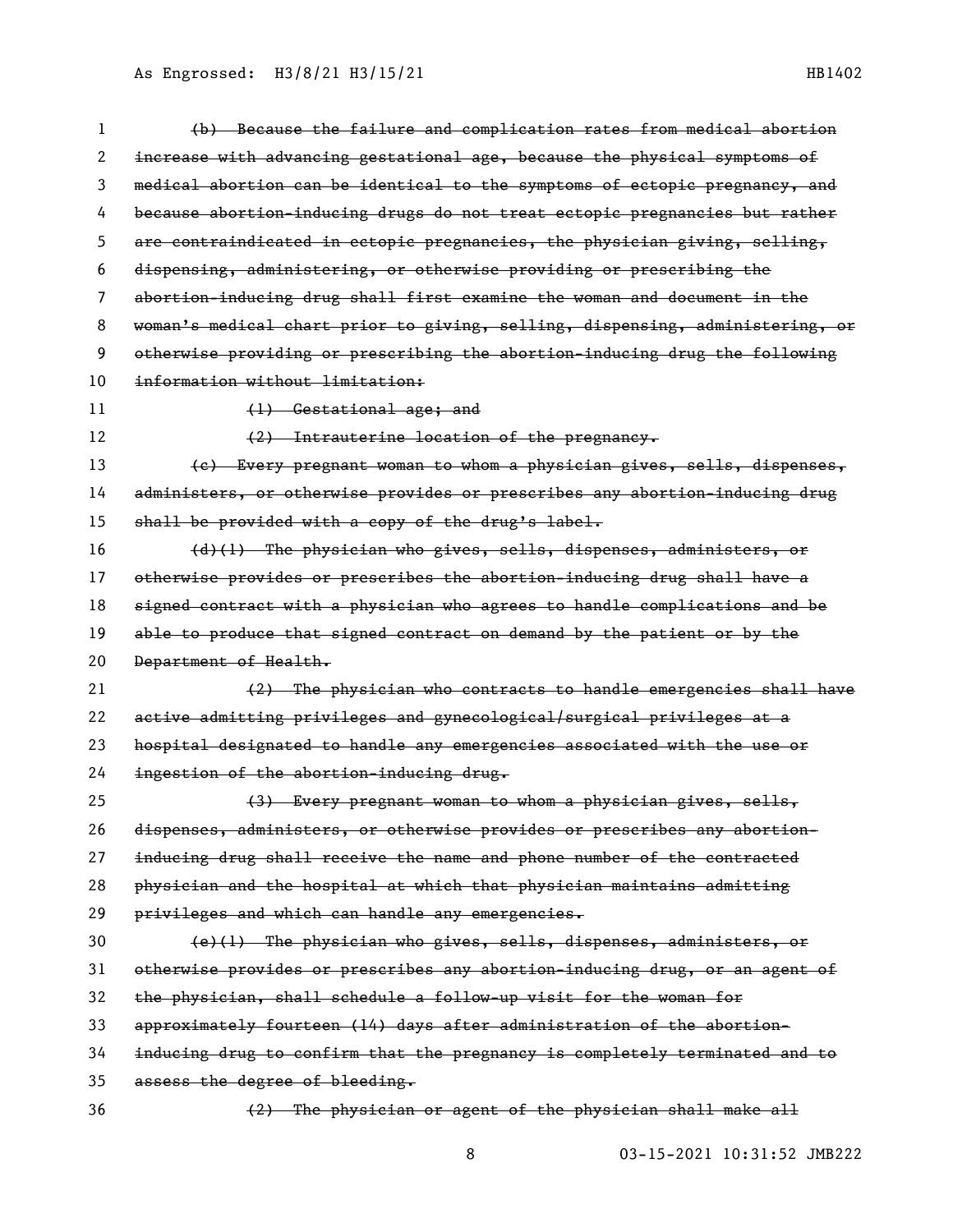As Engrossed: H3/8/21 H3/15/21 1202 1202 1203 1204 1204 1204 1205

| 1  | (b) Because the failure and complication rates from medical abortion          |
|----|-------------------------------------------------------------------------------|
| 2  | increase with advancing gestational age, because the physical symptoms of     |
| 3  | medical abortion can be identical to the symptoms of ectopic pregnancy, and   |
| 4  | because abortion-inducing drugs do not treat ectopic pregnancies but rather   |
| 5  | are contraindicated in ectopic pregnancies, the physician giving, selling,    |
| 6  | dispensing, administering, or otherwise providing or prescribing the          |
| 7  | abortion-inducing drug shall first examine the woman and document in the      |
| 8  | woman's medical chart prior to giving, selling, dispensing, administering, or |
| 9  | otherwise providing or prescribing the abortion-inducing drug the following   |
| 10 | information without limitation:                                               |
| 11 | (1) Gestational age; and                                                      |
| 12 | (2) Intrauterine location of the pregnancy.                                   |
| 13 | (e) Every pregnant woman to whom a physician gives, sells, dispenses,         |
| 14 | administers, or otherwise provides or prescribes any abortion-inducing drug   |
| 15 | shall be provided with a copy of the drug's label.                            |
| 16 | (d)(l) The physician who gives, sells, dispenses, administers, or             |
| 17 | otherwise provides or prescribes the abortion-inducing drug shall have a      |
| 18 | signed contract with a physician who agrees to handle complications and be    |
| 19 | able to produce that signed contract on demand by the patient or by the       |
| 20 | Department of Health.                                                         |
| 21 | (2) The physician who contracts to handle emergencies shall have              |
| 22 | active admitting privileges and gynecological/surgical privileges at a        |
| 23 | hospital designated to handle any emergencies associated with the use or      |
| 24 | ingestion of the abortion-inducing drug.                                      |
| 25 | (3) Every pregnant woman to whom a physician gives, sells,                    |
| 26 | dispenses, administers, or otherwise provides or prescribes any abortion-     |
| 27 | inducing drug shall receive the name and phone number of the contracted       |
| 28 | physician and the hospital at which that physician maintains admitting        |
| 29 | privileges and which can handle any emergencies.                              |
| 30 | (e)(1) The physician who gives, sells, dispenses, administers, or             |
| 31 | otherwise provides or prescribes any abortion-inducing drug, or an agent of   |
| 32 | the physician, shall schedule a follow-up visit for the woman for             |
| 33 | approximately fourteen (14) days after administration of the abortion-        |
| 34 | inducing drug to confirm that the pregnancy is completely terminated and to   |
| 35 | assess the degree of bleeding.                                                |
| 36 | (2) The physician or agent of the physician shall make all                    |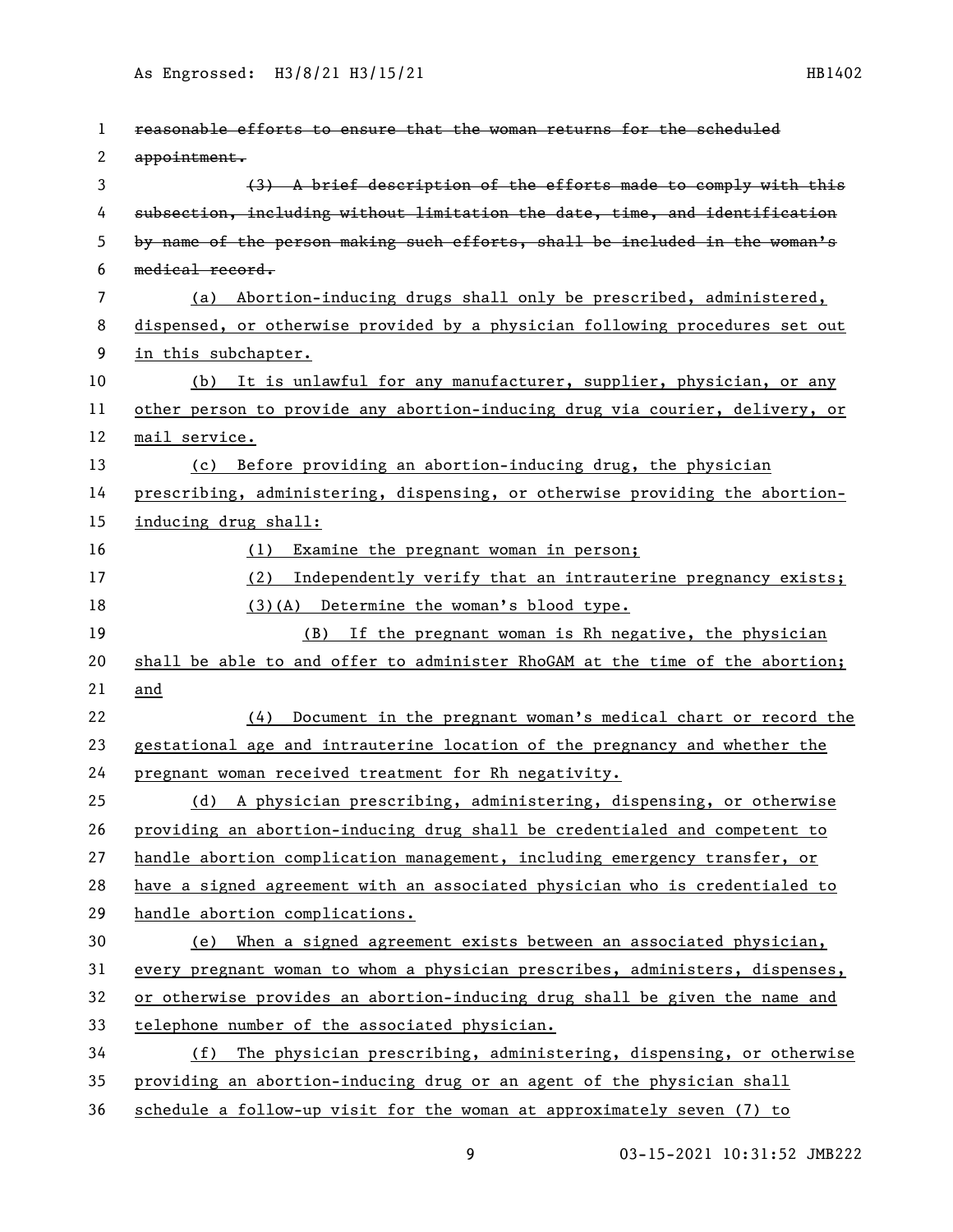| 1  | reasonable efforts to ensure that the woman returns for the scheduled        |
|----|------------------------------------------------------------------------------|
| 2  | appointment.                                                                 |
| 3  | (3) A brief description of the efforts made to comply with this              |
| 4  | subsection, including without limitation the date, time, and identification  |
| 5  | by name of the person making such efforts, shall be included in the woman's  |
| 6  | medical record.                                                              |
| 7  | (a) Abortion-inducing drugs shall only be prescribed, administered,          |
| 8  | dispensed, or otherwise provided by a physician following procedures set out |
| 9  | in this subchapter.                                                          |
| 10 | (b) It is unlawful for any manufacturer, supplier, physician, or any         |
| 11 | other person to provide any abortion-inducing drug via courier, delivery, or |
| 12 | mail service.                                                                |
| 13 | (c) Before providing an abortion-inducing drug, the physician                |
| 14 | prescribing, administering, dispensing, or otherwise providing the abortion- |
| 15 | inducing drug shall:                                                         |
| 16 | (1)<br>Examine the pregnant woman in person;                                 |
| 17 | (2)<br>Independently verify that an intrauterine pregnancy exists;           |
| 18 | (3)(A) Determine the woman's blood type.                                     |
| 19 | (B) If the pregnant woman is Rh negative, the physician                      |
| 20 | shall be able to and offer to administer RhoGAM at the time of the abortion; |
| 21 | and                                                                          |
| 22 | Document in the pregnant woman's medical chart or record the<br>(4)          |
| 23 | gestational age and intrauterine location of the pregnancy and whether the   |
| 24 | pregnant woman received treatment for Rh negativity.                         |
| 25 | (d) A physician prescribing, administering, dispensing, or otherwise         |
| 26 | providing an abortion-inducing drug shall be credentialed and competent to   |
| 27 | handle abortion complication management, including emergency transfer, or    |
| 28 | have a signed agreement with an associated physician who is credentialed to  |
| 29 | handle abortion complications.                                               |
| 30 | (e) When a signed agreement exists between an associated physician,          |
| 31 | every pregnant woman to whom a physician prescribes, administers, dispenses, |
| 32 | or otherwise provides an abortion-inducing drug shall be given the name and  |
| 33 | telephone number of the associated physician.                                |
| 34 | The physician prescribing, administering, dispensing, or otherwise<br>(f)    |
| 35 | providing an abortion-inducing drug or an agent of the physician shall       |
| 36 | schedule a follow-up visit for the woman at approximately seven (7) to       |